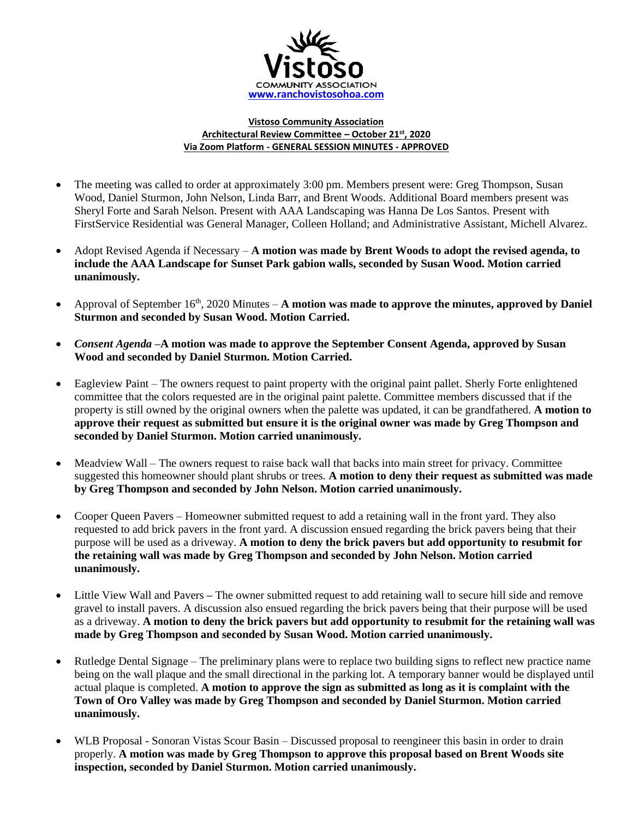

## **Vistoso Community Association Architectural Review Committee – October 21st , 2020 Via Zoom Platform - GENERAL SESSION MINUTES - APPROVED**

- The meeting was called to order at approximately 3:00 pm. Members present were: Greg Thompson, Susan Wood, Daniel Sturmon, John Nelson, Linda Barr, and Brent Woods. Additional Board members present was Sheryl Forte and Sarah Nelson. Present with AAA Landscaping was Hanna De Los Santos. Present with FirstService Residential was General Manager, Colleen Holland; and Administrative Assistant, Michell Alvarez.
- Adopt Revised Agenda if Necessary **A motion was made by Brent Woods to adopt the revised agenda, to include the AAA Landscape for Sunset Park gabion walls, seconded by Susan Wood. Motion carried unanimously.**
- Approval of September 16<sup>th</sup>, 2020 Minutes A motion was made to approve the minutes, approved by Daniel **Sturmon and seconded by Susan Wood. Motion Carried.**
- *Consent Agenda –***A motion was made to approve the September Consent Agenda, approved by Susan Wood and seconded by Daniel Sturmon. Motion Carried.**
- Eagleview Paint The owners request to paint property with the original paint pallet. Sherly Forte enlightened committee that the colors requested are in the original paint palette. Committee members discussed that if the property is still owned by the original owners when the palette was updated, it can be grandfathered. **A motion to approve their request as submitted but ensure it is the original owner was made by Greg Thompson and seconded by Daniel Sturmon. Motion carried unanimously.**
- Meadview Wall The owners request to raise back wall that backs into main street for privacy. Committee suggested this homeowner should plant shrubs or trees. **A motion to deny their request as submitted was made by Greg Thompson and seconded by John Nelson. Motion carried unanimously.**
- Cooper Queen Pavers Homeowner submitted request to add a retaining wall in the front yard. They also requested to add brick pavers in the front yard. A discussion ensued regarding the brick pavers being that their purpose will be used as a driveway. **A motion to deny the brick pavers but add opportunity to resubmit for the retaining wall was made by Greg Thompson and seconded by John Nelson. Motion carried unanimously.**
- Little View Wall and Pavers The owner submitted request to add retaining wall to secure hill side and remove gravel to install pavers. A discussion also ensued regarding the brick pavers being that their purpose will be used as a driveway. **A motion to deny the brick pavers but add opportunity to resubmit for the retaining wall was made by Greg Thompson and seconded by Susan Wood. Motion carried unanimously.**
- Rutledge Dental Signage The preliminary plans were to replace two building signs to reflect new practice name being on the wall plaque and the small directional in the parking lot. A temporary banner would be displayed until actual plaque is completed. **A motion to approve the sign as submitted as long as it is complaint with the Town of Oro Valley was made by Greg Thompson and seconded by Daniel Sturmon. Motion carried unanimously.**
- WLB Proposal Sonoran Vistas Scour Basin Discussed proposal to reengineer this basin in order to drain properly. **A motion was made by Greg Thompson to approve this proposal based on Brent Woods site inspection, seconded by Daniel Sturmon. Motion carried unanimously.**